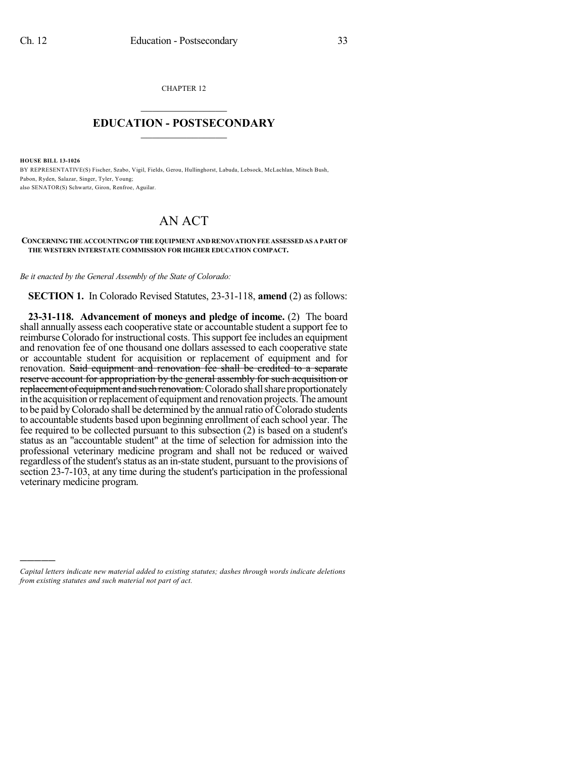CHAPTER 12  $\mathcal{L}_\text{max}$  . The set of the set of the set of the set of the set of the set of the set of the set of the set of the set of the set of the set of the set of the set of the set of the set of the set of the set of the set

## **EDUCATION - POSTSECONDARY**  $\frac{1}{2}$  ,  $\frac{1}{2}$  ,  $\frac{1}{2}$  ,  $\frac{1}{2}$  ,  $\frac{1}{2}$  ,  $\frac{1}{2}$  ,  $\frac{1}{2}$

**HOUSE BILL 13-1026**

)))))

BY REPRESENTATIVE(S) Fischer, Szabo, Vigil, Fields, Gerou, Hullinghorst, Labuda, Lebsock, McLachlan, Mitsch Bush, Pabon, Ryden, Salazar, Singer, Tyler, Young; also SENATOR(S) Schwartz, Giron, Renfroe, Aguilar.

## AN ACT

## **CONCERNINGTHE ACCOUNTINGOF THE EQUIPMENT ANDRENOVATIONFEE ASSESSEDAS APART OF THE WESTERN INTERSTATE COMMISSION FOR HIGHER EDUCATION COMPACT.**

*Be it enacted by the General Assembly of the State of Colorado:*

**SECTION 1.** In Colorado Revised Statutes, 23-31-118, **amend** (2) as follows:

**23-31-118. Advancement of moneys and pledge of income.** (2) The board shall annually assess each cooperative state or accountable student a support fee to reimburse Colorado for instructional costs. Thissupport fee includes an equipment and renovation fee of one thousand one dollars assessed to each cooperative state or accountable student for acquisition or replacement of equipment and for renovation. Said equipment and renovation fee shall be credited to a separate reserve account for appropriation by the general assembly for such acquisition or replacement of equipment and such renovation. Colorado shall share proportionately in the acquisition or replacement of equipment and renovation projects. The amount to be paid by Colorado shall be determined by the annual ratio of Colorado students to accountable students based upon beginning enrollment of each school year. The fee required to be collected pursuant to this subsection (2) is based on a student's status as an "accountable student" at the time of selection for admission into the professional veterinary medicine program and shall not be reduced or waived regardless ofthe student'sstatus as an in-state student, pursuant to the provisions of section 23-7-103, at any time during the student's participation in the professional veterinary medicine program.

*Capital letters indicate new material added to existing statutes; dashes through words indicate deletions from existing statutes and such material not part of act.*